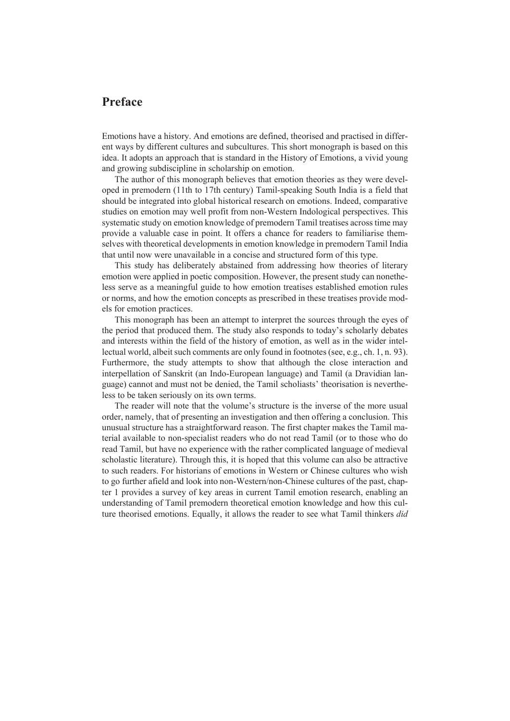## **Preface**

Emotions have a history. And emotions are defined, theorised and practised in different ways by different cultures and subcultures. This short monograph is based on this idea. It adopts an approach that is standard in the History of Emotions, a vivid young and growing subdiscipline in scholarship on emotion.

The author of this monograph believes that emotion theories as they were developed in premodern (11th to 17th century) Tamil-speaking South India is a field that should be integrated into global historical research on emotions. Indeed, comparative studies on emotion may well profit from non-Western Indological perspectives. This systematic study on emotion knowledge of premodern Tamil treatises across time may provide a valuable case in point. It offers a chance for readers to familiarise themselves with theoretical developments in emotion knowledge in premodern Tamil India that until now were unavailable in a concise and structured form of this type.

This study has deliberately abstained from addressing how theories of literary emotion were applied in poetic composition. However, the present study can nonetheless serve as a meaningful guide to how emotion treatises established emotion rules or norms, and how the emotion concepts as prescribed in these treatises provide models for emotion practices.

This monograph has been an attempt to interpret the sources through the eyes of the period that produced them. The study also responds to today's scholarly debates and interests within the field of the history of emotion, as well as in the wider intellectual world, albeit such comments are only found in footnotes (see, e.g., ch. 1, n. 93). Furthermore, the study attempts to show that although the close interaction and interpellation of Sanskrit (an Indo-European language) and Tamil (a Dravidian language) cannot and must not be denied, the Tamil scholiasts' theorisation is nevertheless to be taken seriously on its own terms.

The reader will note that the volume's structure is the inverse of the more usual order, namely, that of presenting an investigation and then offering a conclusion. This unusual structure has a straightforward reason. The first chapter makes the Tamil material available to non-specialist readers who do not read Tamil (or to those who do read Tamil, but have no experience with the rather complicated language of medieval scholastic literature). Through this, it is hoped that this volume can also be attractive to such readers. For historians of emotions in Western or Chinese cultures who wish to go further afield and look into non-Western/non-Chinese cultures of the past, chapter 1 provides a survey of key areas in current Tamil emotion research, enabling an understanding of Tamil premodern theoretical emotion knowledge and how this culture theorised emotions. Equally, it allows the reader to see what Tamil thinkers *did*